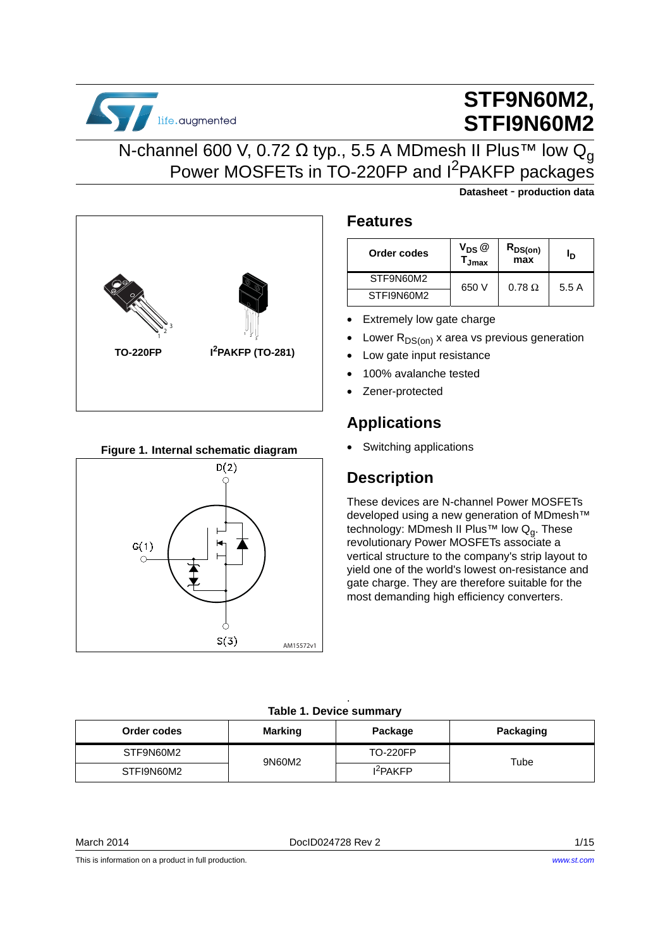

# **STF9N60M2, STFI9N60M2**

**Datasheet** - **production data**

### N-channel 600 V, 0.72 Ω typ., 5.5 A MDmesh II Plus<sup>™</sup> low Q<sub>α</sub> Power MOSFETs in TO-220FP and I<sup>2</sup>PAKFP packages



#### **Figure 1. Internal schematic diagram**



### **Features**

| Order codes | $V_{DS}$ $@$<br>Jmax | $R_{DS(on)}$<br>max | ıр   |
|-------------|----------------------|---------------------|------|
| STF9N60M2   | 650 V                | $0.78 \Omega$       | 5.5A |
| STFI9N60M2  |                      |                     |      |

- **Extremely low gate charge**
- Lower  $R_{DS(on)}$  x area vs previous generation
- Low gate input resistance
- 100% avalanche tested
- Zener-protected

### **Applications**

• Switching applications

### **Description**

These devices are N-channel Power MOSFETs developed using a new generation of MDmesh™ technology: MDmesh II Plus™ low  $Q<sub>g</sub>$ . These revolutionary Power MOSFETs associate a vertical structure to the company's strip layout to yield one of the world's lowest on-resistance and gate charge. They are therefore suitable for the most demanding high efficiency converters.

#### . **Table 1. Device summary**

| Order codes | Marking<br>Package |                      | Packaging |
|-------------|--------------------|----------------------|-----------|
| STF9N60M2   | 9N60M2             | <b>TO-220FP</b>      | Tube      |
| STFI9N60M2  |                    | I <sup>2</sup> PAKFP |           |

March 2014 **DoclD024728 Rev 2** 2 1/15

This is information on a product in full production.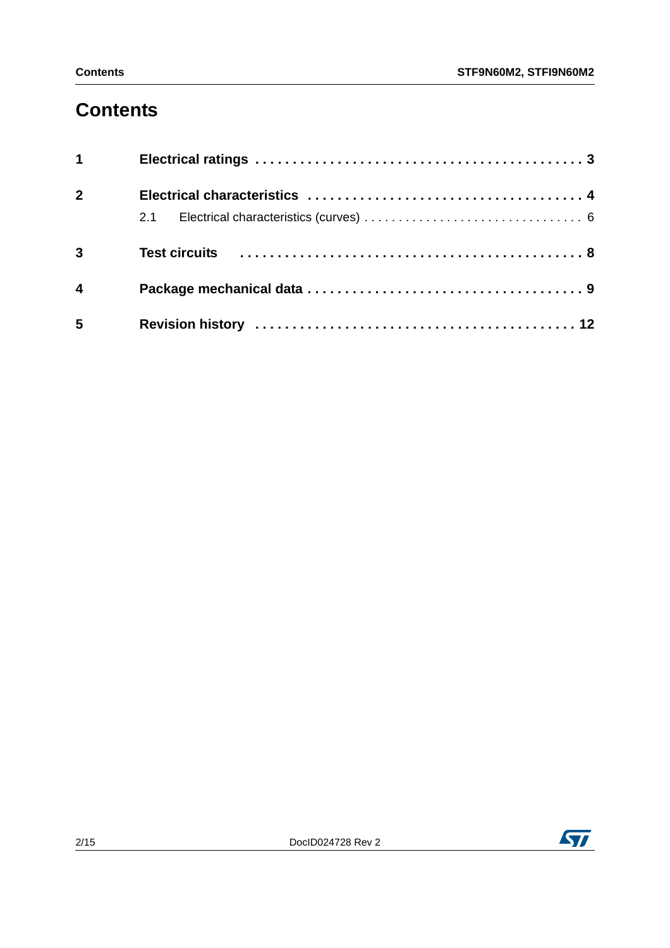## **Contents**

| $1 \quad \blacksquare$  |  |
|-------------------------|--|
| $2^{\circ}$             |  |
|                         |  |
| $\overline{3}$          |  |
| $\overline{\mathbf{4}}$ |  |
| 5                       |  |

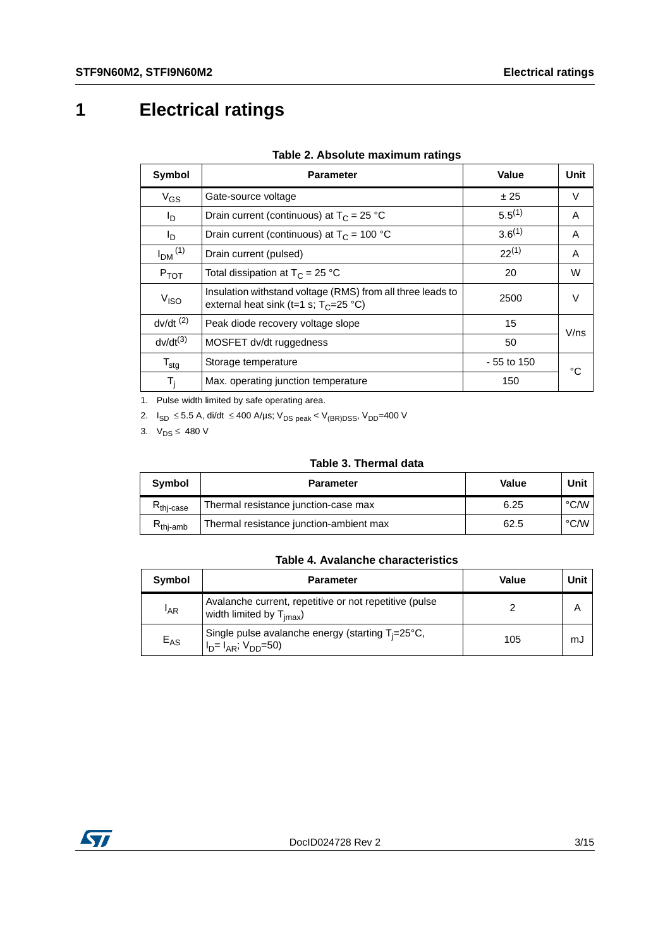## <span id="page-2-0"></span>**1 Electrical ratings**

| Symbol                  | <b>Parameter</b>                                                                                       | Value       | Unit   |
|-------------------------|--------------------------------------------------------------------------------------------------------|-------------|--------|
| $V_{GS}$                | Gate-source voltage                                                                                    | ± 25        | V      |
| l <sub>D</sub>          | Drain current (continuous) at $T_c = 25 °C$                                                            | $5.5^{(1)}$ | A      |
| I <sub>D</sub>          | Drain current (continuous) at $T_c = 100 °C$                                                           | $3.6^{(1)}$ | A      |
| $I_{DM}$ <sup>(1)</sup> | Drain current (pulsed)                                                                                 | $22^{(1)}$  | A      |
| $P_{TOT}$               | Total dissipation at $T_C = 25 °C$                                                                     | 20          | W      |
| V <sub>ISO</sub>        | Insulation withstand voltage (RMS) from all three leads to<br>external heat sink (t=1 s; $T_c$ =25 °C) | 2500        | $\vee$ |
| $dv/dt$ <sup>(2)</sup>  | Peak diode recovery voltage slope                                                                      | 15          | V/ns   |
| $dv/dt^{(3)}$           | MOSFET dv/dt ruggedness                                                                                | 50          |        |
| $T_{\text{stg}}$        | Storage temperature                                                                                    | - 55 to 150 | °∩     |
| $T_i$                   | Max. operating junction temperature                                                                    | 150         |        |

#### **Table 2. Absolute maximum ratings**

1. Pulse width limited by safe operating area.

2.  $I_{SD}$  ≤ 5.5 A, di/dt ≤ 400 A/µs; V<sub>DS peak</sub> < V<sub>(BR)DSS</sub>, V<sub>DD</sub>=400 V

3.  $V_{DS} \leq 480 V$ 

#### **Table 3. Thermal data**

| Symbol               | <b>Parameter</b>                        | Value | Unit |
|----------------------|-----------------------------------------|-------|------|
| $\kappa$ thi-case    | Thermal resistance junction-case max    | 6.25  | °C/W |
| $R_{\text{thi-amb}}$ | Thermal resistance junction-ambient max | 62.5  | °C/W |

#### **Table 4. Avalanche characteristics**

| Symbol   | <b>Parameter</b>                                                                                  | Value | Unit |
|----------|---------------------------------------------------------------------------------------------------|-------|------|
| 'AR      | Avalanche current, repetitive or not repetitive (pulse<br>width limited by $T_{\text{imax}}$ )    |       |      |
| $E_{AS}$ | Single pulse avalanche energy (starting $T_i = 25^{\circ}C$ ,<br>$I_D = I_{AR}$ ; $V_{DD} = 50$ ) | 105   | mJ   |

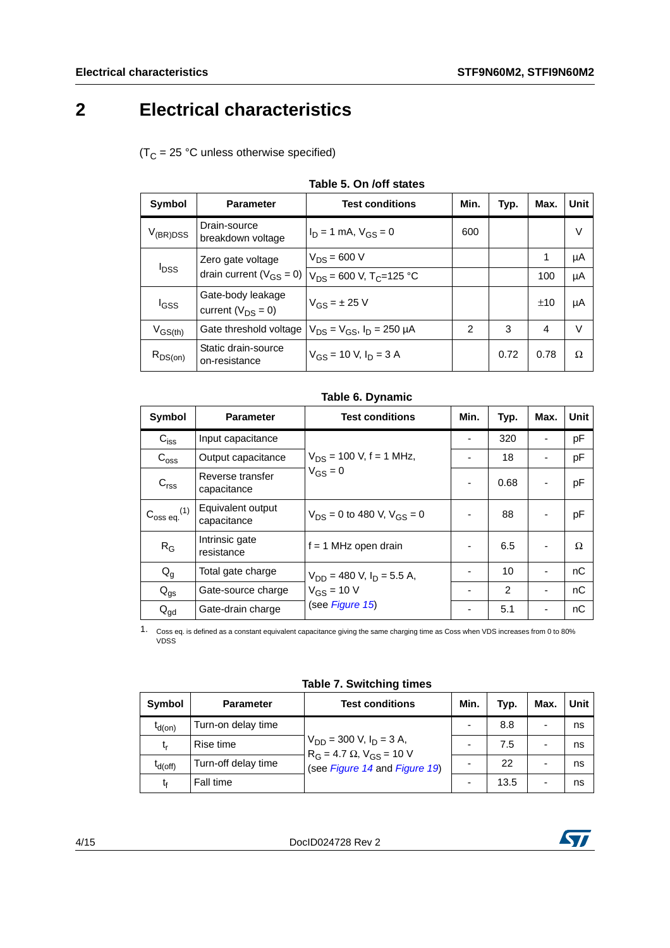## <span id="page-3-0"></span>**2 Electrical characteristics**

 $(T_C = 25 °C$  unless otherwise specified)

|                         |                                               | $1805$ J. OII JUIL SLALES                |               |      |      |        |
|-------------------------|-----------------------------------------------|------------------------------------------|---------------|------|------|--------|
| Symbol                  | <b>Parameter</b>                              | <b>Test conditions</b>                   | Min.          | Typ. | Max. | Unit   |
| $V_{(BR)DSS}$           | Drain-source<br>breakdown voltage             | $I_D = 1$ mA, $V_{GS} = 0$               | 600           |      |      | $\vee$ |
| Zero gate voltage       |                                               | $V_{DS} = 600 V$                         |               |      | 1    | μA     |
| <b>I</b> <sub>DSS</sub> | drain current ( $V_{GS} = 0$ )                | $V_{DS}$ = 600 V, T <sub>C</sub> =125 °C |               |      | 100  | μA     |
| l <sub>GSS</sub>        | Gate-body leakage<br>current ( $V_{DS} = 0$ ) | $V_{GS} = \pm 25$ V                      |               |      | ±10  | μA     |
| $V_{GS(th)}$            | Gate threshold voltage                        | $V_{DS} = V_{GS}$ , $I_D = 250 \mu A$    | $\mathcal{P}$ | 3    | 4    | $\vee$ |
| $R_{DS(on)}$            | Static drain-source<br>on-resistance          | $V_{GS}$ = 10 V, $I_D$ = 3 A             |               | 0.72 | 0.78 | Ω      |

#### **Table 5. On /off states**

#### **Table 6. Dynamic**

| <b>Symbol</b>                | <b>Parameter</b>                 | <b>Test conditions</b>              | Min. | Typ.           | Max. | <b>Unit</b> |
|------------------------------|----------------------------------|-------------------------------------|------|----------------|------|-------------|
| $C_{iss}$                    | Input capacitance                |                                     |      | 320            |      | pF          |
| $C_{\text{oss}}$             | Output capacitance               | $V_{DS}$ = 100 V, f = 1 MHz,        |      | 18             |      | pF          |
| C <sub>rss</sub>             | Reverse transfer<br>capacitance  | $V_{GS} = 0$                        |      | 0.68           |      | pF          |
| $C_{\rm oss\ eq.}^{\rm (1)}$ | Equivalent output<br>capacitance | $V_{DS} = 0$ to 480 V, $V_{GS} = 0$ |      | 88             |      | pF          |
| $R_G$                        | Intrinsic gate<br>resistance     | $f = 1$ MHz open drain              |      | 6.5            |      | Ω           |
| $Q_{q}$                      | Total gate charge                | $V_{DD}$ = 480 V, $I_D$ = 5.5 A,    |      | 10             |      | nC          |
| $Q_{\text{gs}}$              | Gate-source charge               | $V_{GS}$ = 10 V                     |      | $\overline{2}$ |      | nC          |
| $Q_{\text{gd}}$              | Gate-drain charge                | (see Figure 15)                     |      | 5.1            |      | nC          |

1. Coss eq. is defined as a constant equivalent capacitance giving the same charging time as Coss when VDS increases from 0 to 80% VDSS

|  | <b>Table 7. Switching times</b> |  |
|--|---------------------------------|--|
|--|---------------------------------|--|

| Symbol       | <b>Parameter</b>    | <b>Test conditions</b>                                                                                  | Min.                     | Typ. | Max.                     | Unit |
|--------------|---------------------|---------------------------------------------------------------------------------------------------------|--------------------------|------|--------------------------|------|
| $t_{d(on)}$  | Turn-on delay time  |                                                                                                         |                          | 8.8  | $\overline{\phantom{0}}$ | ns   |
| t,           | Rise time           | $V_{DD}$ = 300 V, $I_D$ = 3 A,<br>$R_G = 4.7 \Omega$ , $V_{GS} = 10 V$<br>(see Figure 14 and Figure 19) | $\overline{\phantom{0}}$ | 7.5  | -                        | ns   |
| $t_{d(Off)}$ | Turn-off delay time |                                                                                                         |                          | 22   |                          | ns   |
| t٤           | Fall time           |                                                                                                         |                          | 13.5 |                          | ns   |

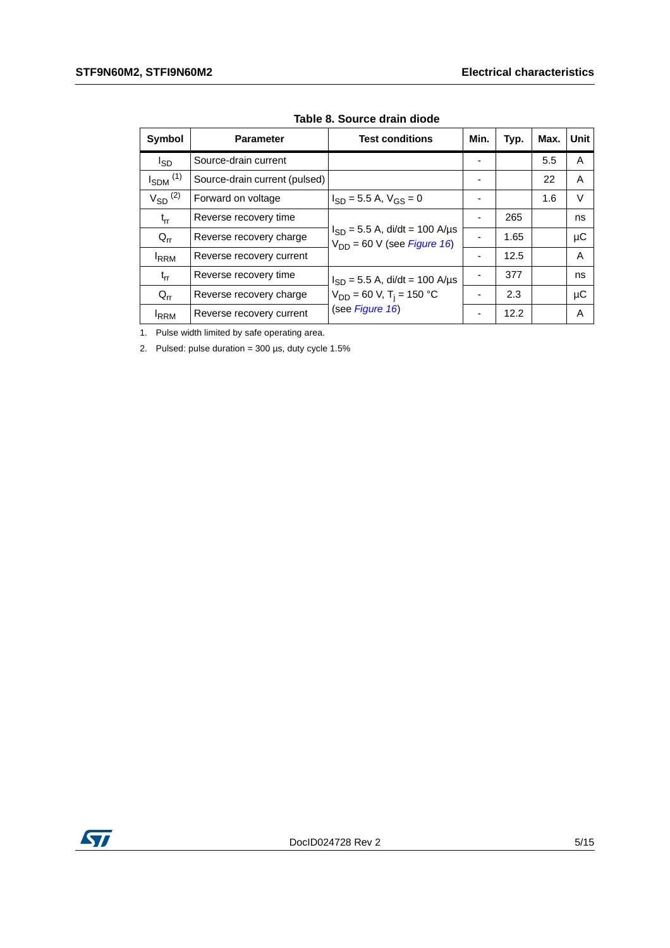| Symbol                   | <b>Parameter</b>              | <b>Test conditions</b>                                                        | Min. | Typ. | Max. | Unit    |
|--------------------------|-------------------------------|-------------------------------------------------------------------------------|------|------|------|---------|
| l <sub>SD</sub>          | Source-drain current          |                                                                               |      |      | 5.5  | A       |
| $I_{SDM}$ <sup>(1)</sup> | Source-drain current (pulsed) |                                                                               |      |      | 22   | A       |
| $V_{SD}$ <sup>(2)</sup>  | Forward on voltage            | $I_{SD}$ = 5.5 A, $V_{GS}$ = 0                                                |      |      | 1.6  | V       |
| $t_{rr}$                 | Reverse recovery time         |                                                                               |      | 265  |      | ns      |
| $Q_{rr}$                 | Reverse recovery charge       | $I_{SD}$ = 5.5 A, di/dt = 100 A/µs<br>$V_{DD}$ = 60 V (see <i>Figure 16</i> ) |      | 1.65 |      | μC      |
| <b>IRRM</b>              | Reverse recovery current      |                                                                               | ۰    | 12.5 |      | A       |
| $t_{rr}$                 | Reverse recovery time         | $I_{SD}$ = 5.5 A, di/dt = 100 A/µs                                            |      | 377  |      | ns      |
| $Q_{rr}$                 | Reverse recovery charge       | $V_{DD} = 60$ V, T <sub>i</sub> = 150 °C                                      |      | 2.3  |      | $\mu$ C |
| <b>IRRM</b>              | Reverse recovery current      | (see Figure 16)                                                               |      | 12.2 |      | A       |

**Table 8. Source drain diode**

1. Pulse width limited by safe operating area.

2. Pulsed: pulse duration =  $300 \,\mu s$ , duty cycle  $1.5\%$ 

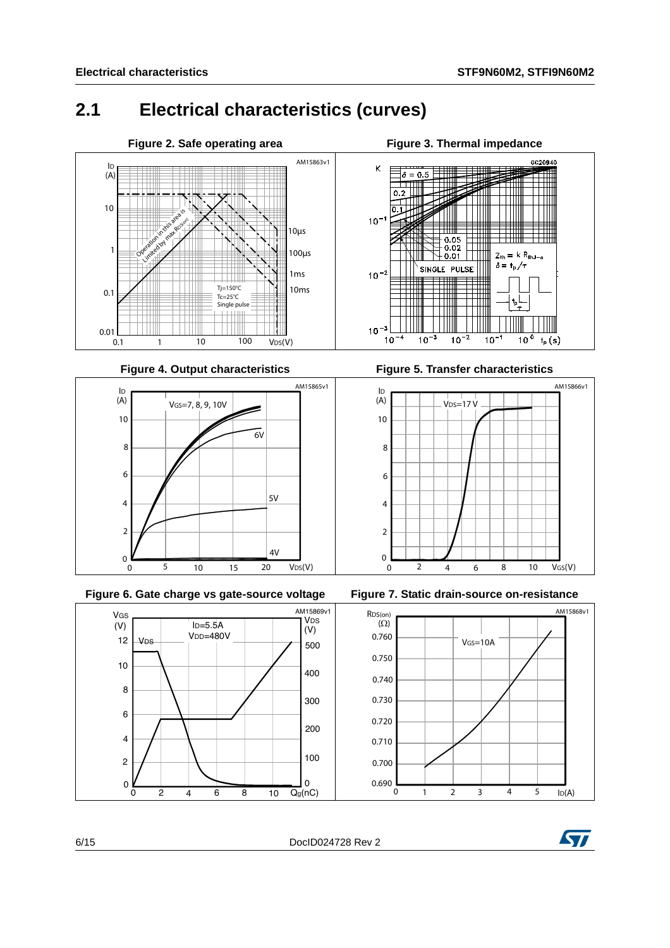### <span id="page-5-0"></span>**2.1 Electrical characteristics (curves)**





**Figure 6. Gate charge vs gate-source voltage Figure 7. Static drain-source on-resistance**



**Figure 3. Thermal impedance** 



**Figure 4. Output characteristics Figure 5. Transfer characteristics**







6/15 DocID024728 Rev 2

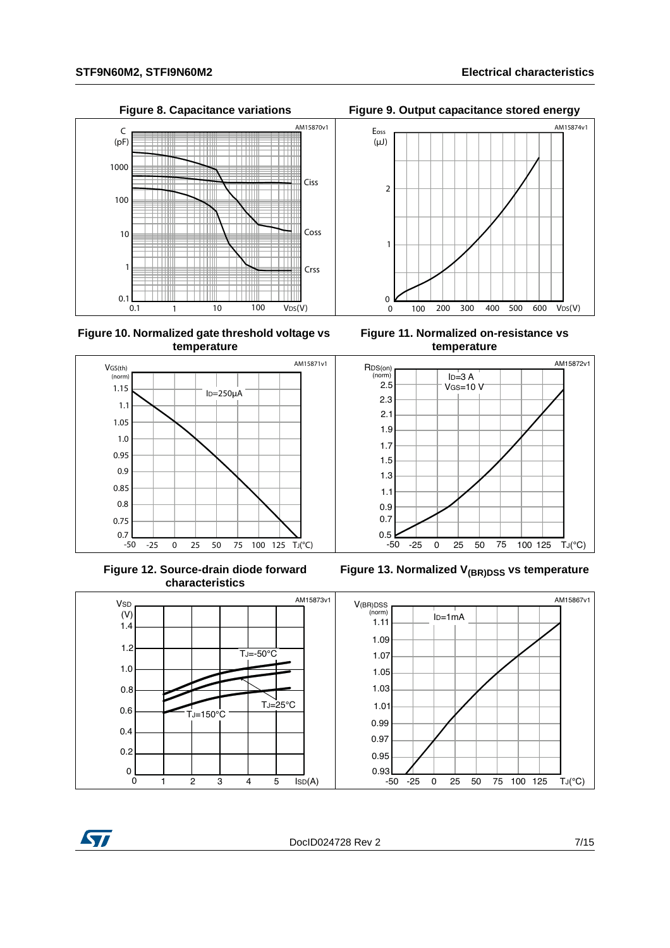TIM Ħ

C

(pF)

1000

100

10

1

0.1



Ciss

Coss

Crss



**Figure 10. Normalized gate threshold voltage vs temperature**

0.1 1 10 100 V<sub>DS</sub>(V)

100

10



**Figure 12. Source-drain diode forward characteristics**



**Figure 11. Normalized on-resistance vs temperature**



Figure 13. Normalized V<sub>(BR)DSS</sub> vs temperature



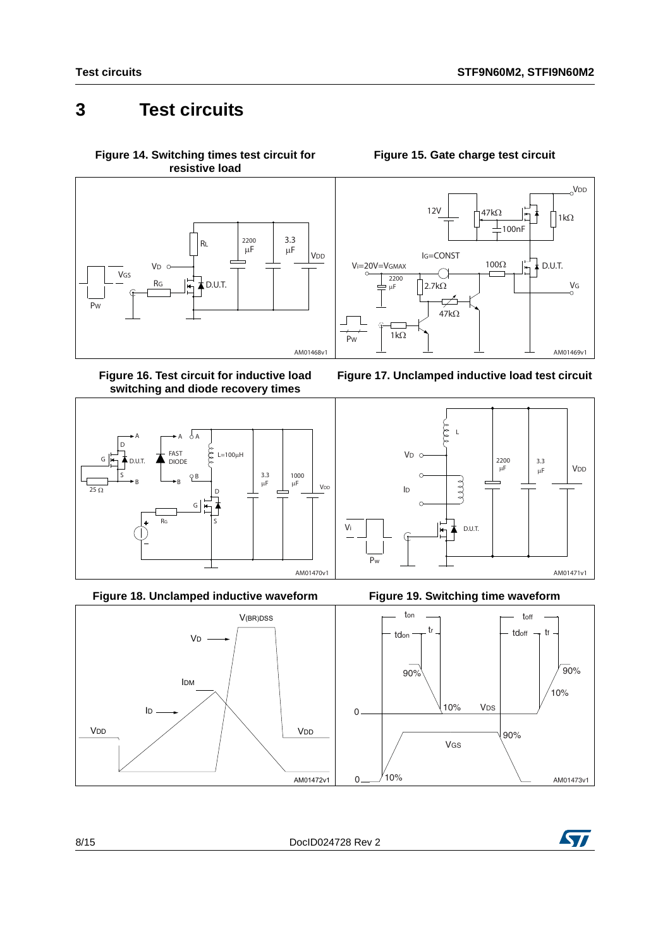### <span id="page-7-0"></span>**3 Test circuits**

<span id="page-7-2"></span>**Figure 14. Switching times test circuit for resistive load**



<span id="page-7-4"></span>**Figure 16. Test circuit for inductive load switching and diode recovery times**



**Figure 18. Unclamped inductive waveform Figure 19. Switching time waveform**



#### **Figure 15. Gate charge test circuit**

<span id="page-7-1"></span>







<span id="page-7-3"></span>

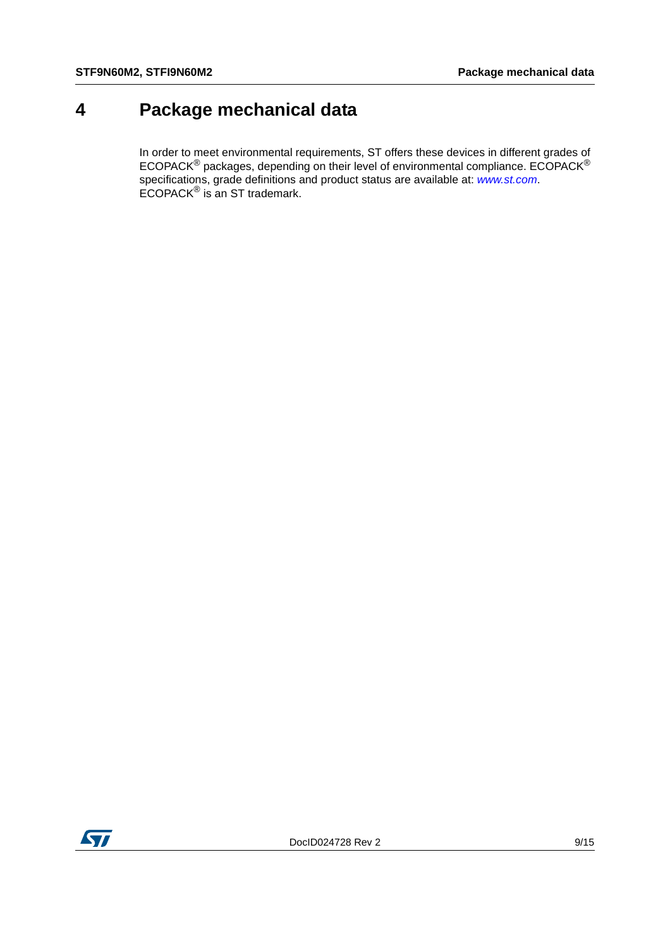### <span id="page-8-0"></span>**4 Package mechanical data**

In order to meet environmental requirements, ST offers these devices in different grades of ECOPACK $^{\circledR}$  packages, depending on their level of environmental compliance. ECOPACK $^{\circledR}$ specifications, grade definitions and product status are available at: *[www.st.com](http://www.st.com)*. ECOPACK® is an ST trademark.

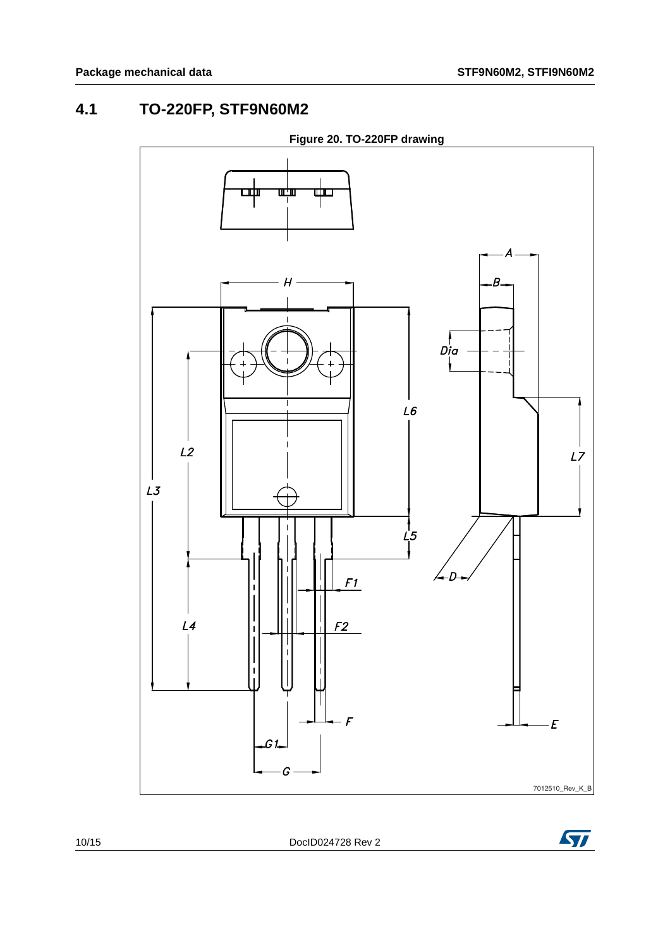### **4.1 TO-220FP, STF9N60M2**



**Figure 20. TO-220FP drawing**



10/15 DocID024728 Rev 2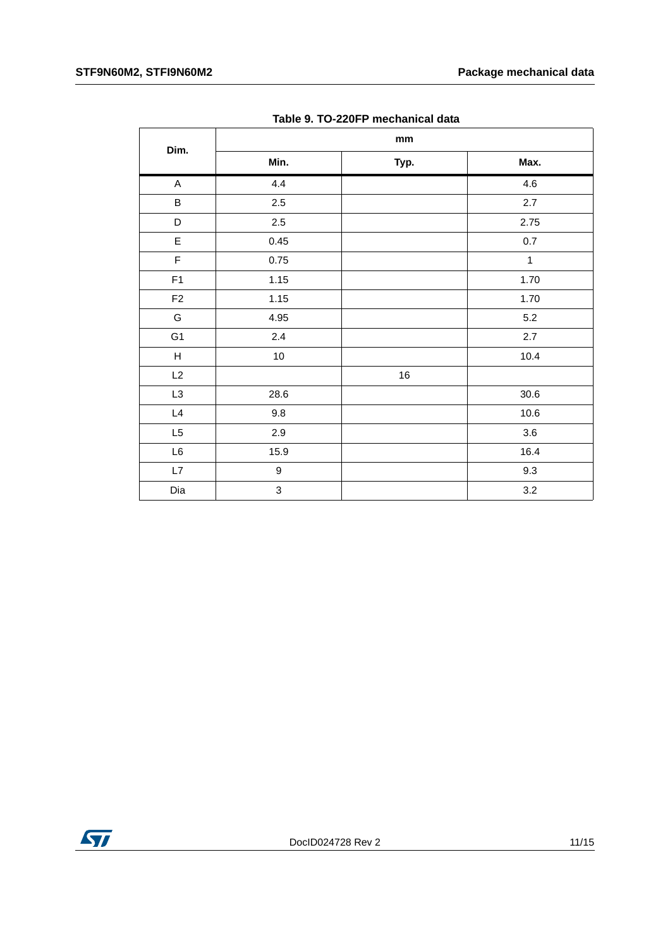| Table 9. TO-ZZUFF THECHANICAL GAIA |                 |                               |         |  |  |
|------------------------------------|-----------------|-------------------------------|---------|--|--|
| Dim.                               |                 | $\mathop{\text{mm}}\nolimits$ |         |  |  |
|                                    | Min.            | Typ.                          | Max.    |  |  |
| A                                  | 4.4             |                               | 4.6     |  |  |
| $\sf B$                            | $2.5\,$         |                               | 2.7     |  |  |
| D                                  | $2.5\,$         |                               | 2.75    |  |  |
| $\mathsf E$                        | 0.45            |                               | $0.7\,$ |  |  |
| F                                  | 0.75            |                               | 1       |  |  |
| F1                                 | 1.15            |                               | 1.70    |  |  |
| $\mathsf{F2}$                      | 1.15            |                               | 1.70    |  |  |
| G                                  | 4.95            |                               | $5.2\,$ |  |  |
| G <sub>1</sub>                     | 2.4             |                               | 2.7     |  |  |
| H                                  | 10 <sub>1</sub> |                               | 10.4    |  |  |
| L2                                 |                 | $16\,$                        |         |  |  |
| L <sub>3</sub>                     | 28.6            |                               | 30.6    |  |  |
| L4                                 | 9.8             |                               | 10.6    |  |  |
| L <sub>5</sub>                     | 2.9             |                               | 3.6     |  |  |
| L6                                 | 15.9            |                               | 16.4    |  |  |
| $\mathsf{L}7$                      | 9               |                               | 9.3     |  |  |
| Dia                                | 3               |                               | 3.2     |  |  |

**Table 9. TO-220FP mechanical data**

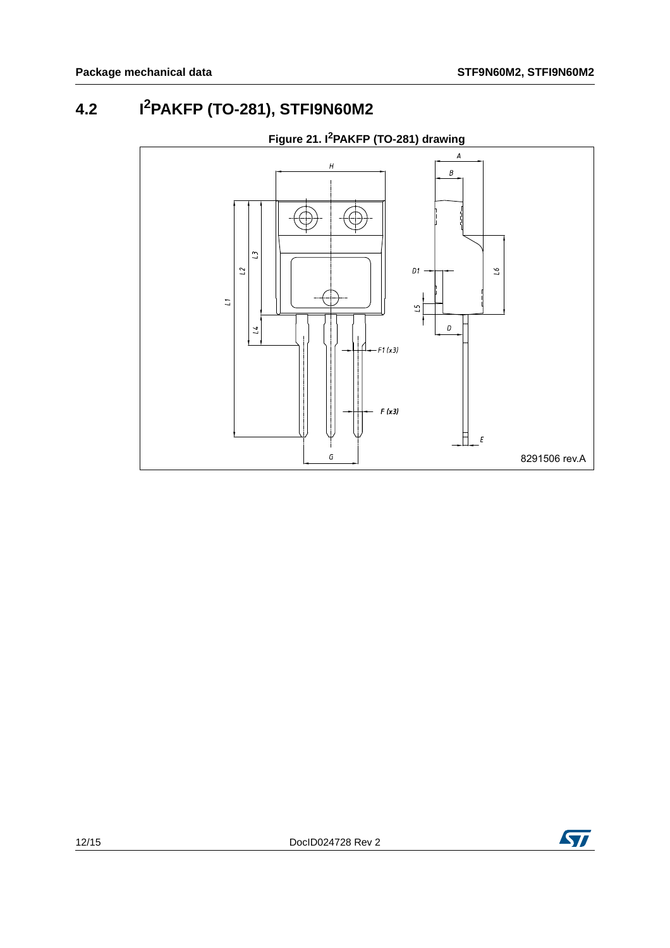## **4.2 I2PAKFP (TO-281), STFI9N60M2**



### **Figure 21. I2PAKFP (TO-281) drawing**

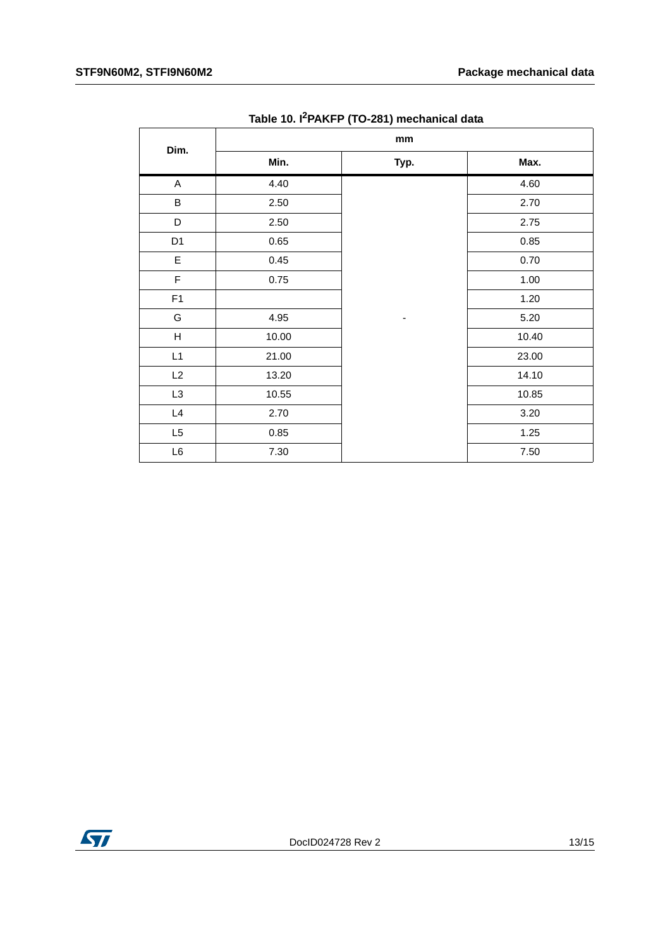| Dim.           | mm    |      |       |  |
|----------------|-------|------|-------|--|
|                | Min.  | Typ. | Max.  |  |
| A              | 4.40  |      | 4.60  |  |
| B              | 2.50  |      | 2.70  |  |
| D              | 2.50  |      | 2.75  |  |
| D <sub>1</sub> | 0.65  |      | 0.85  |  |
| E              | 0.45  |      | 0.70  |  |
| F              | 0.75  |      | 1.00  |  |
| F1             |       |      | 1.20  |  |
| G              | 4.95  |      | 5.20  |  |
| H              | 10.00 |      | 10.40 |  |
| L1             | 21.00 |      | 23.00 |  |
| L2             | 13.20 |      | 14.10 |  |
| L3             | 10.55 |      | 10.85 |  |
| L4             | 2.70  |      | 3.20  |  |
| L5             | 0.85  |      | 1.25  |  |
| $\mathsf{L}6$  | 7.30  |      | 7.50  |  |

**Table 10. I2PAKFP (TO-281) mechanical data**

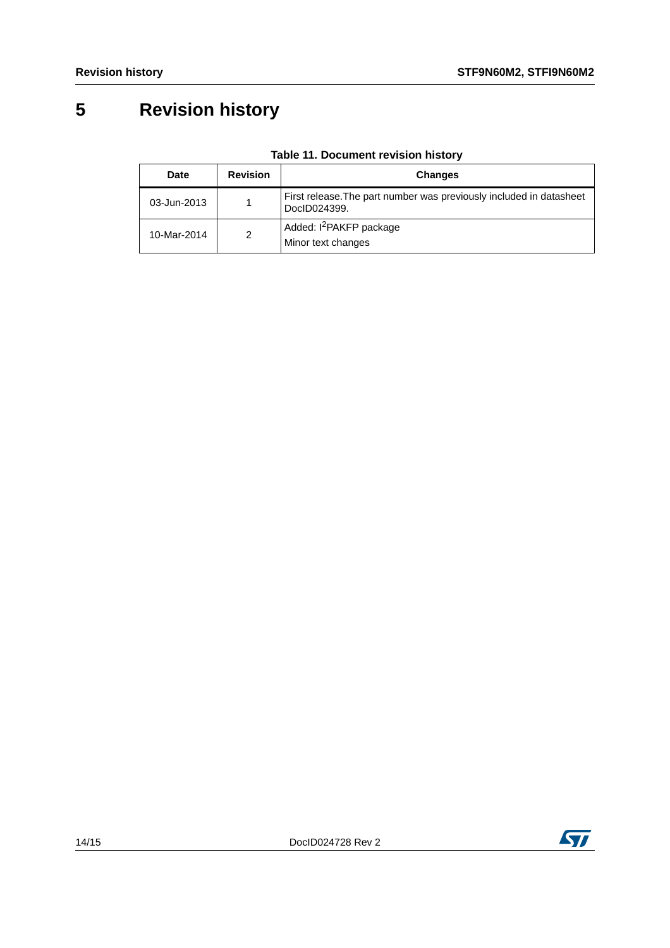# **5 Revision history**

| Date        | <b>Revision</b> | <b>Changes</b>                                                                      |  |
|-------------|-----------------|-------------------------------------------------------------------------------------|--|
| 03-Jun-2013 |                 | First release. The part number was previously included in datasheet<br>DocID024399. |  |
| 10-Mar-2014 | 2               | Added: I <sup>2</sup> PAKFP package<br>Minor text changes                           |  |

### **Table 11. Document revision history**